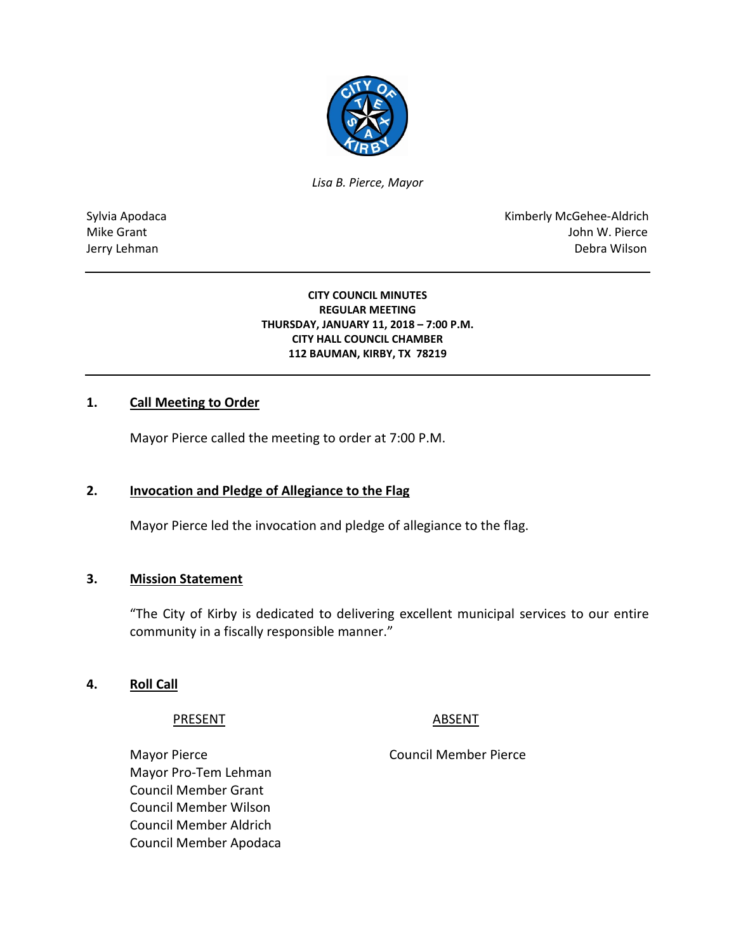

*Lisa B. Pierce, Mayor* 

Sylvia Apodaca National Apodaca Kimberly McGehee-Aldrich Mike Grant John W. Pierce Jerry Lehman Debra Wilson

> **CITY COUNCIL MINUTES REGULAR MEETING THURSDAY, JANUARY 11, 2018 – 7:00 P.M. CITY HALL COUNCIL CHAMBER 112 BAUMAN, KIRBY, TX 78219**

### **1. Call Meeting to Order**

Mayor Pierce called the meeting to order at 7:00 P.M.

# **2. Invocation and Pledge of Allegiance to the Flag**

Mayor Pierce led the invocation and pledge of allegiance to the flag.

#### **3. Mission Statement**

"The City of Kirby is dedicated to delivering excellent municipal services to our entire community in a fiscally responsible manner."

#### **4. Roll Call**

#### PRESENT ABSENT

Mayor Pierce **Council Member Pierce** Council Member Pierce Mayor Pro-Tem Lehman Council Member Grant Council Member Wilson Council Member Aldrich Council Member Apodaca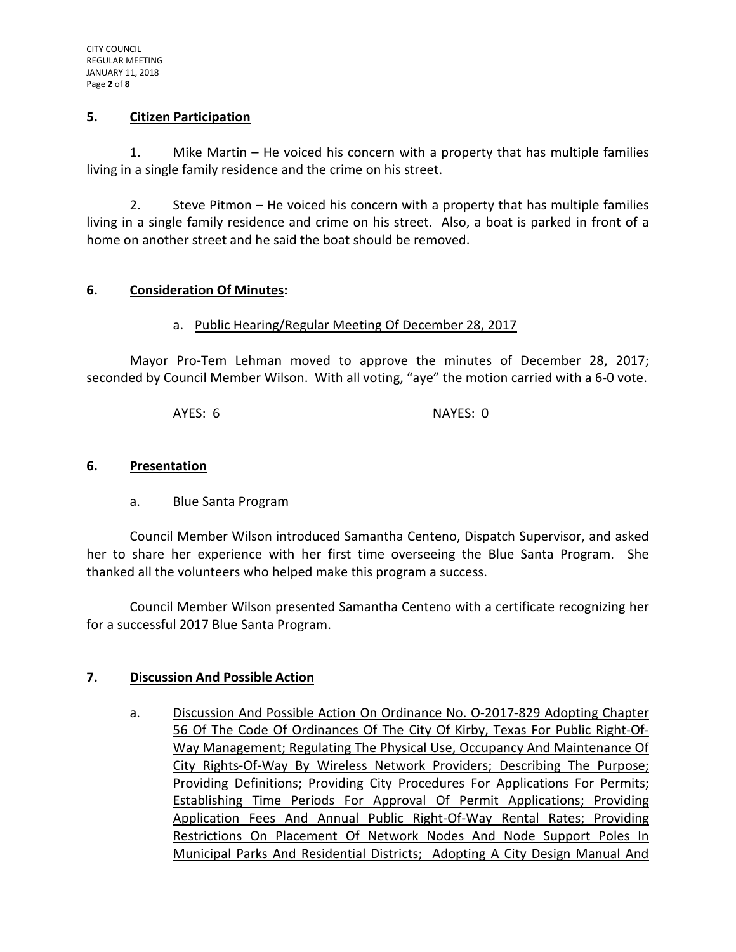## **5. Citizen Participation**

1. Mike Martin – He voiced his concern with a property that has multiple families living in a single family residence and the crime on his street.

2. Steve Pitmon – He voiced his concern with a property that has multiple families living in a single family residence and crime on his street. Also, a boat is parked in front of a home on another street and he said the boat should be removed.

## **6. Consideration Of Minutes:**

### a. Public Hearing/Regular Meeting Of December 28, 2017

Mayor Pro-Tem Lehman moved to approve the minutes of December 28, 2017; seconded by Council Member Wilson. With all voting, "aye" the motion carried with a 6-0 vote.

AYES: 6 NAYES: 0

### **6. Presentation**

### a. Blue Santa Program

Council Member Wilson introduced Samantha Centeno, Dispatch Supervisor, and asked her to share her experience with her first time overseeing the Blue Santa Program. She thanked all the volunteers who helped make this program a success.

Council Member Wilson presented Samantha Centeno with a certificate recognizing her for a successful 2017 Blue Santa Program.

### **7. Discussion And Possible Action**

a. Discussion And Possible Action On Ordinance No. O-2017-829 Adopting Chapter 56 Of The Code Of Ordinances Of The City Of Kirby, Texas For Public Right-Of-Way Management; Regulating The Physical Use, Occupancy And Maintenance Of City Rights-Of-Way By Wireless Network Providers; Describing The Purpose; Providing Definitions; Providing City Procedures For Applications For Permits; Establishing Time Periods For Approval Of Permit Applications; Providing Application Fees And Annual Public Right-Of-Way Rental Rates; Providing Restrictions On Placement Of Network Nodes And Node Support Poles In Municipal Parks And Residential Districts; Adopting A City Design Manual And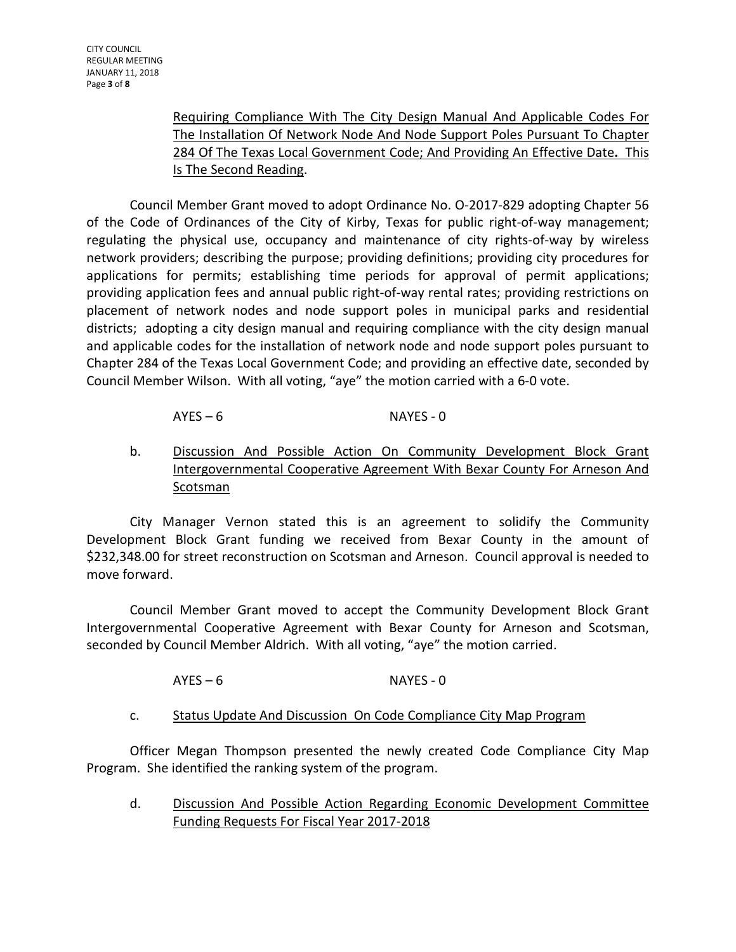Requiring Compliance With The City Design Manual And Applicable Codes For The Installation Of Network Node And Node Support Poles Pursuant To Chapter 284 Of The Texas Local Government Code; And Providing An Effective Date**.** This Is The Second Reading.

Council Member Grant moved to adopt Ordinance No. O-2017-829 adopting Chapter 56 of the Code of Ordinances of the City of Kirby, Texas for public right-of-way management; regulating the physical use, occupancy and maintenance of city rights-of-way by wireless network providers; describing the purpose; providing definitions; providing city procedures for applications for permits; establishing time periods for approval of permit applications; providing application fees and annual public right-of-way rental rates; providing restrictions on placement of network nodes and node support poles in municipal parks and residential districts; adopting a city design manual and requiring compliance with the city design manual and applicable codes for the installation of network node and node support poles pursuant to Chapter 284 of the Texas Local Government Code; and providing an effective date, seconded by Council Member Wilson. With all voting, "aye" the motion carried with a 6-0 vote.

# AYES – 6 NAYES - 0

b. Discussion And Possible Action On Community Development Block Grant Intergovernmental Cooperative Agreement With Bexar County For Arneson And **Scotsman** 

City Manager Vernon stated this is an agreement to solidify the Community Development Block Grant funding we received from Bexar County in the amount of \$232,348.00 for street reconstruction on Scotsman and Arneson. Council approval is needed to move forward.

Council Member Grant moved to accept the Community Development Block Grant Intergovernmental Cooperative Agreement with Bexar County for Arneson and Scotsman, seconded by Council Member Aldrich. With all voting, "aye" the motion carried.

## AYES – 6 NAYES - 0

c. Status Update And Discussion On Code Compliance City Map Program

Officer Megan Thompson presented the newly created Code Compliance City Map Program. She identified the ranking system of the program.

d. Discussion And Possible Action Regarding Economic Development Committee Funding Requests For Fiscal Year 2017-2018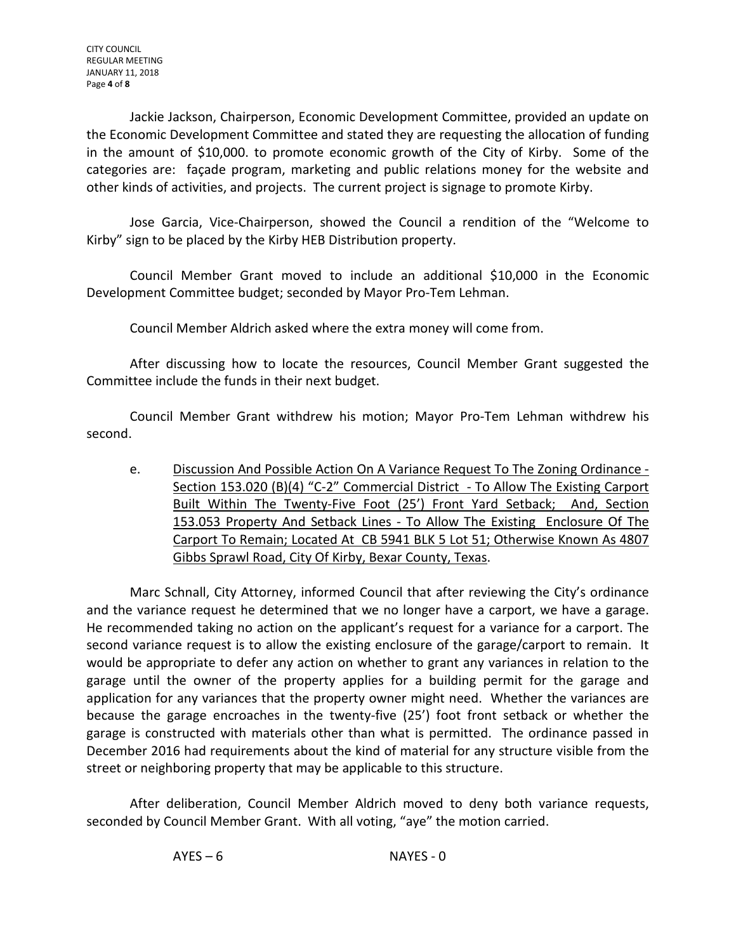Jackie Jackson, Chairperson, Economic Development Committee, provided an update on the Economic Development Committee and stated they are requesting the allocation of funding in the amount of \$10,000. to promote economic growth of the City of Kirby. Some of the categories are: façade program, marketing and public relations money for the website and other kinds of activities, and projects. The current project is signage to promote Kirby.

Jose Garcia, Vice-Chairperson, showed the Council a rendition of the "Welcome to Kirby" sign to be placed by the Kirby HEB Distribution property.

Council Member Grant moved to include an additional \$10,000 in the Economic Development Committee budget; seconded by Mayor Pro-Tem Lehman.

Council Member Aldrich asked where the extra money will come from.

After discussing how to locate the resources, Council Member Grant suggested the Committee include the funds in their next budget.

Council Member Grant withdrew his motion; Mayor Pro-Tem Lehman withdrew his second.

e. Discussion And Possible Action On A Variance Request To The Zoning Ordinance - Section 153.020 (B)(4) "C-2" Commercial District - To Allow The Existing Carport Built Within The Twenty-Five Foot (25') Front Yard Setback; And, Section 153.053 Property And Setback Lines - To Allow The Existing Enclosure Of The Carport To Remain; Located At CB 5941 BLK 5 Lot 51; Otherwise Known As 4807 Gibbs Sprawl Road, City Of Kirby, Bexar County, Texas.

Marc Schnall, City Attorney, informed Council that after reviewing the City's ordinance and the variance request he determined that we no longer have a carport, we have a garage. He recommended taking no action on the applicant's request for a variance for a carport. The second variance request is to allow the existing enclosure of the garage/carport to remain. It would be appropriate to defer any action on whether to grant any variances in relation to the garage until the owner of the property applies for a building permit for the garage and application for any variances that the property owner might need. Whether the variances are because the garage encroaches in the twenty-five (25') foot front setback or whether the garage is constructed with materials other than what is permitted. The ordinance passed in December 2016 had requirements about the kind of material for any structure visible from the street or neighboring property that may be applicable to this structure.

After deliberation, Council Member Aldrich moved to deny both variance requests, seconded by Council Member Grant. With all voting, "aye" the motion carried.

AYES – 6 NAYES - 0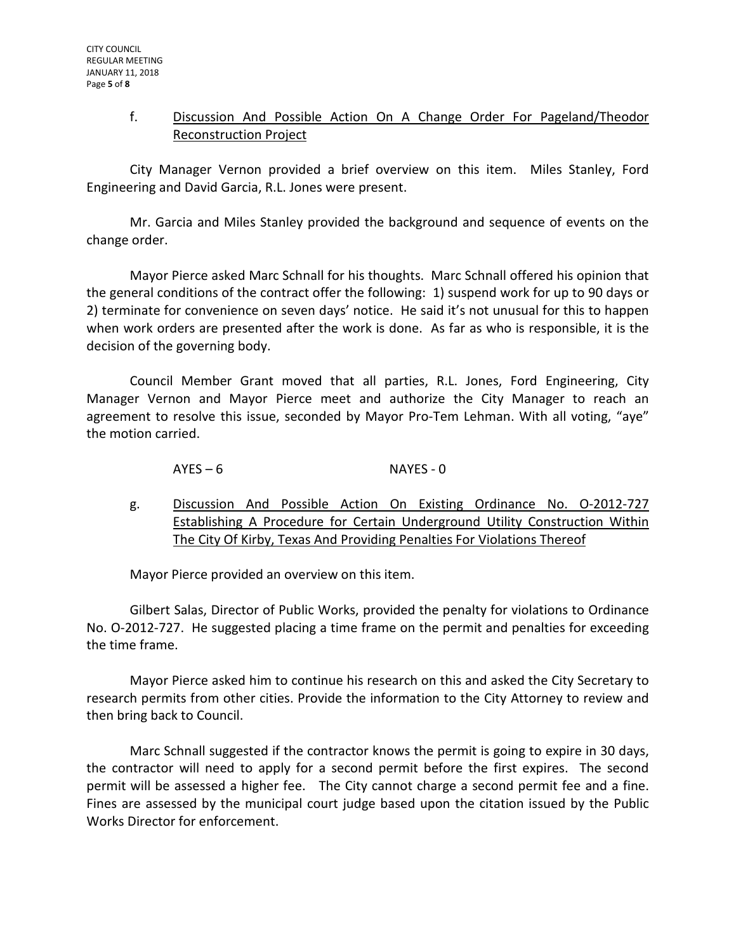## f. Discussion And Possible Action On A Change Order For Pageland/Theodor Reconstruction Project

City Manager Vernon provided a brief overview on this item. Miles Stanley, Ford Engineering and David Garcia, R.L. Jones were present.

Mr. Garcia and Miles Stanley provided the background and sequence of events on the change order.

Mayor Pierce asked Marc Schnall for his thoughts. Marc Schnall offered his opinion that the general conditions of the contract offer the following: 1) suspend work for up to 90 days or 2) terminate for convenience on seven days' notice. He said it's not unusual for this to happen when work orders are presented after the work is done. As far as who is responsible, it is the decision of the governing body.

Council Member Grant moved that all parties, R.L. Jones, Ford Engineering, City Manager Vernon and Mayor Pierce meet and authorize the City Manager to reach an agreement to resolve this issue, seconded by Mayor Pro-Tem Lehman. With all voting, "aye" the motion carried.

# AYES – 6 NAYES - 0

g. Discussion And Possible Action On Existing Ordinance No. O-2012-727 Establishing A Procedure for Certain Underground Utility Construction Within The City Of Kirby, Texas And Providing Penalties For Violations Thereof

Mayor Pierce provided an overview on this item.

Gilbert Salas, Director of Public Works, provided the penalty for violations to Ordinance No. O-2012-727. He suggested placing a time frame on the permit and penalties for exceeding the time frame.

Mayor Pierce asked him to continue his research on this and asked the City Secretary to research permits from other cities. Provide the information to the City Attorney to review and then bring back to Council.

Marc Schnall suggested if the contractor knows the permit is going to expire in 30 days, the contractor will need to apply for a second permit before the first expires. The second permit will be assessed a higher fee. The City cannot charge a second permit fee and a fine. Fines are assessed by the municipal court judge based upon the citation issued by the Public Works Director for enforcement.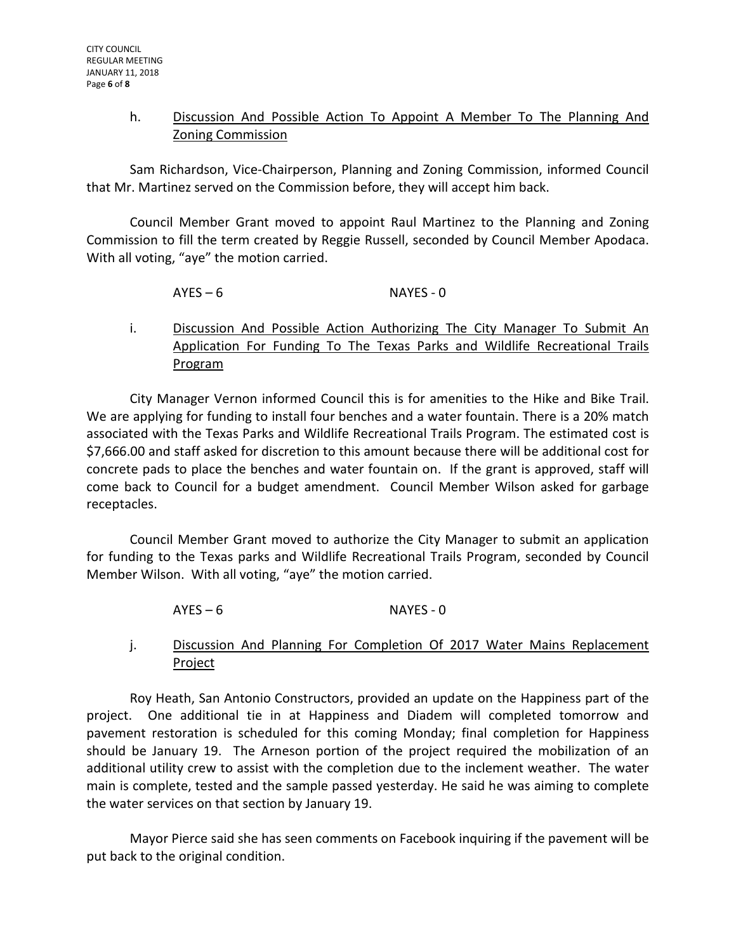## h. Discussion And Possible Action To Appoint A Member To The Planning And Zoning Commission

Sam Richardson, Vice-Chairperson, Planning and Zoning Commission, informed Council that Mr. Martinez served on the Commission before, they will accept him back.

Council Member Grant moved to appoint Raul Martinez to the Planning and Zoning Commission to fill the term created by Reggie Russell, seconded by Council Member Apodaca. With all voting, "aye" the motion carried.

# AYES – 6 NAYES - 0

i. Discussion And Possible Action Authorizing The City Manager To Submit An Application For Funding To The Texas Parks and Wildlife Recreational Trails Program

City Manager Vernon informed Council this is for amenities to the Hike and Bike Trail. We are applying for funding to install four benches and a water fountain. There is a 20% match associated with the Texas Parks and Wildlife Recreational Trails Program. The estimated cost is \$7,666.00 and staff asked for discretion to this amount because there will be additional cost for concrete pads to place the benches and water fountain on. If the grant is approved, staff will come back to Council for a budget amendment. Council Member Wilson asked for garbage receptacles.

Council Member Grant moved to authorize the City Manager to submit an application for funding to the Texas parks and Wildlife Recreational Trails Program, seconded by Council Member Wilson. With all voting, "aye" the motion carried.

- AYES 6 NAYES 0
- j. Discussion And Planning For Completion Of 2017 Water Mains Replacement Project

Roy Heath, San Antonio Constructors, provided an update on the Happiness part of the project. One additional tie in at Happiness and Diadem will completed tomorrow and pavement restoration is scheduled for this coming Monday; final completion for Happiness should be January 19. The Arneson portion of the project required the mobilization of an additional utility crew to assist with the completion due to the inclement weather. The water main is complete, tested and the sample passed yesterday. He said he was aiming to complete the water services on that section by January 19.

Mayor Pierce said she has seen comments on Facebook inquiring if the pavement will be put back to the original condition.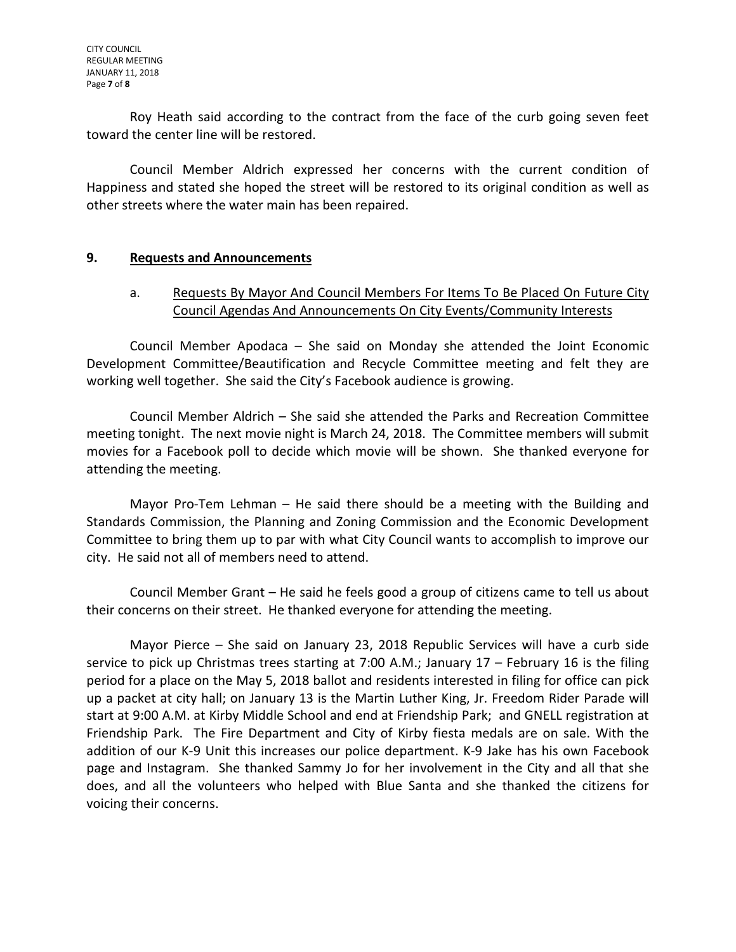Roy Heath said according to the contract from the face of the curb going seven feet toward the center line will be restored.

Council Member Aldrich expressed her concerns with the current condition of Happiness and stated she hoped the street will be restored to its original condition as well as other streets where the water main has been repaired.

### **9. Requests and Announcements**

## a. Requests By Mayor And Council Members For Items To Be Placed On Future City Council Agendas And Announcements On City Events/Community Interests

Council Member Apodaca – She said on Monday she attended the Joint Economic Development Committee/Beautification and Recycle Committee meeting and felt they are working well together. She said the City's Facebook audience is growing.

Council Member Aldrich – She said she attended the Parks and Recreation Committee meeting tonight. The next movie night is March 24, 2018. The Committee members will submit movies for a Facebook poll to decide which movie will be shown. She thanked everyone for attending the meeting.

Mayor Pro-Tem Lehman – He said there should be a meeting with the Building and Standards Commission, the Planning and Zoning Commission and the Economic Development Committee to bring them up to par with what City Council wants to accomplish to improve our city. He said not all of members need to attend.

Council Member Grant – He said he feels good a group of citizens came to tell us about their concerns on their street. He thanked everyone for attending the meeting.

Mayor Pierce – She said on January 23, 2018 Republic Services will have a curb side service to pick up Christmas trees starting at 7:00 A.M.; January 17 – February 16 is the filing period for a place on the May 5, 2018 ballot and residents interested in filing for office can pick up a packet at city hall; on January 13 is the Martin Luther King, Jr. Freedom Rider Parade will start at 9:00 A.M. at Kirby Middle School and end at Friendship Park; and GNELL registration at Friendship Park. The Fire Department and City of Kirby fiesta medals are on sale. With the addition of our K-9 Unit this increases our police department. K-9 Jake has his own Facebook page and Instagram. She thanked Sammy Jo for her involvement in the City and all that she does, and all the volunteers who helped with Blue Santa and she thanked the citizens for voicing their concerns.